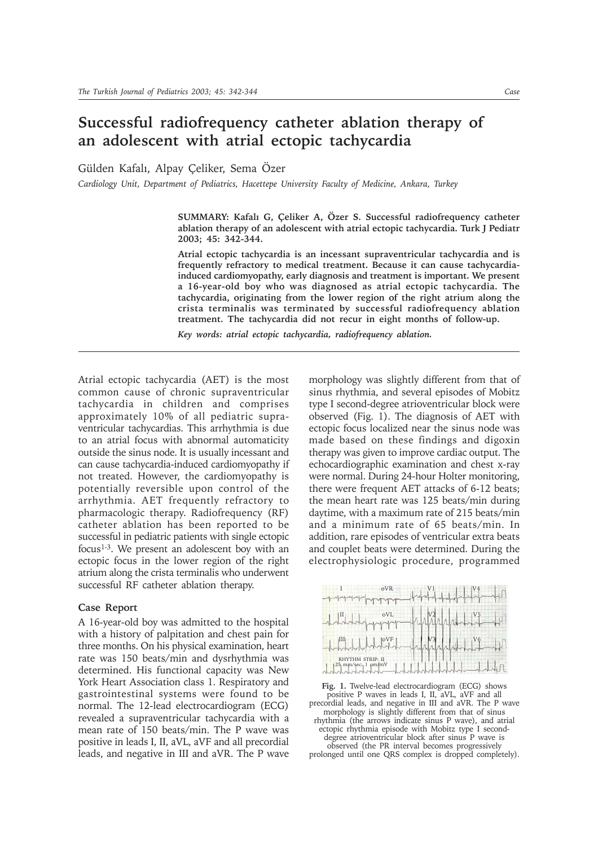## **Successful radiofrequency catheter ablation therapy of an adolescent with atrial ectopic tachycardia**

Gülden Kafalı, Alpay Çeliker, Sema Özer

*Cardiology Unit, Department of Pediatrics, Hacettepe University Faculty of Medicine, Ankara, Turkey*

SUMMARY: Kafalı G, Çeliker A, Özer S. Successful radiofrequency catheter **ablation therapy of an adolescent with atrial ectopic tachycardia. Turk J Pediatr 2003; 45: 342-344.**

**Atrial ectopic tachycardia is an incessant supraventricular tachycardia and is frequently refractory to medical treatment. Because it can cause tachycardiainduced cardiomyopathy, early diagnosis and treatment is important. We present a 16-year-old boy who was diagnosed as atrial ectopic tachycardia. The tachycardia, originating from the lower region of the right atrium along the crista terminalis was terminated by successful radiofrequency ablation treatment. The tachycardia did not recur in eight months of follow-up.**

*Key words: atrial ectopic tachycardia, radiofrequency ablation.*

Atrial ectopic tachycardia (AET) is the most common cause of chronic supraventricular tachycardia in children and comprises approximately 10% of all pediatric supraventricular tachycardias. This arrhythmia is due to an atrial focus with abnormal automaticity outside the sinus node. It is usually incessant and can cause tachycardia-induced cardiomyopathy if not treated. However, the cardiomyopathy is potentially reversible upon control of the arrhythmia. AET frequently refractory to pharmacologic therapy. Radiofrequency (RF) catheter ablation has been reported to be successful in pediatric patients with single ectopic focus<sup>1-3</sup>. We present an adolescent boy with an ectopic focus in the lower region of the right atrium along the crista terminalis who underwent successful RF catheter ablation therapy.

## **Case Report**

A 16-year-old boy was admitted to the hospital with a history of palpitation and chest pain for three months. On his physical examination, heart rate was 150 beats/min and dysrhythmia was determined. His functional capacity was New York Heart Association class 1. Respiratory and gastrointestinal systems were found to be normal. The 12-lead electrocardiogram (ECG) revealed a supraventricular tachycardia with a mean rate of 150 beats/min. The P wave was positive in leads I, II, aVL, aVF and all precordial leads, and negative in III and aVR. The P wave

morphology was slightly different from that of sinus rhythmia, and several episodes of Mobitz type I second-degree atrioventricular block were observed (Fig. 1). The diagnosis of AET with ectopic focus localized near the sinus node was made based on these findings and digoxin therapy was given to improve cardiac output. The echocardiographic examination and chest x-ray were normal. During 24-hour Holter monitoring, there were frequent AET attacks of 6-12 beats; the mean heart rate was 125 beats/min during daytime, with a maximum rate of 215 beats/min and a minimum rate of 65 beats/min. In addition, rare episodes of ventricular extra beats and couplet beats were determined. During the electrophysiologic procedure, programmed

| <i><u>the day of a greater of the day of the day of the day of the day of the day of the day of the day of the day of the day of the day of the day of the day of the day of the day of the day of the day of the day of the day o</u></i> | oVR | Hurdrahahahar perhapan   |  |
|--------------------------------------------------------------------------------------------------------------------------------------------------------------------------------------------------------------------------------------------|-----|--------------------------|--|
| Nu helphoppy                                                                                                                                                                                                                               |     | 1442444772               |  |
| Land Land                                                                                                                                                                                                                                  |     | the subscription of      |  |
| RHYTHM STRIP: II<br>25 mm/sec: 1 pm/mV<br>mmmmm                                                                                                                                                                                            |     | $\overline{\phantom{a}}$ |  |

**Fig. 1.** Twelve-lead electrocardiogram (ECG) shows positive P waves in leads I, II, aVL, aVF and all precordial leads, and negative in III and aVR. The P wave morphology is slightly different from that of sinus rhythmia (the arrows indicate sinus P wave), and atrial ectopic rhythmia episode with Mobitz type I seconddegree atrioventricular block after sinus P wave is observed (the PR interval becomes progressively prolonged until one QRS complex is dropped completely).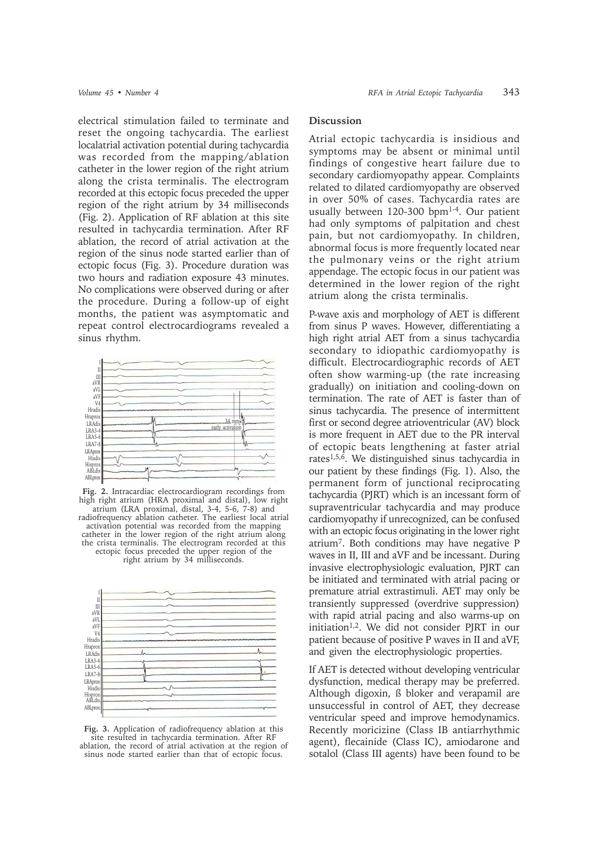electrical stimulation failed to terminate and reset the ongoing tachycardia. The earliest localatrial activation potential during tachycardia was recorded from the mapping/ablation catheter in the lower region of the right atrium along the crista terminalis. The electrogram recorded at this ectopic focus preceded the upper region of the right atrium by 34 milliseconds (Fig. 2). Application of RF ablation at this site resulted in tachycardia termination. After RF ablation, the record of atrial activation at the region of the sinus node started earlier than of ectopic focus (Fig. 3). Procedure duration was two hours and radiation exposure 43 minutes. No complications were observed during or after the procedure. During a follow-up of eight months, the patient was asymptomatic and repeat control electrocardiograms revealed a sinus rhythm.



**Fig. 2.** Intracardiac electrocardiogram recordings from high right atrium (HRA proximal and distal), low right atrium (LRA proximal, distal, 3-4, 5-6, 7-8) and radiofrequency ablation catheter. The earliest local atrial activation potential was recorded from the mapping catheter in the lower region of the right atrium along the crista terminalis. The electrogram recorded at this ectopic focus preceded the upper region of the right atrium by 34 milliseconds.



**Fig. 3.** Application of radiofrequency ablation at this site resulted in tachycardia termination. After RF ablation, the record of atrial activation at the region of sinus node started earlier than that of ectopic focus.

## **Discussion**

Atrial ectopic tachycardia is insidious and symptoms may be absent or minimal until findings of congestive heart failure due to secondary cardiomyopathy appear. Complaints related to dilated cardiomyopathy are observed in over 50% of cases. Tachycardia rates are usually between  $120-300$  bpm<sup>1-4</sup>. Our patient had only symptoms of palpitation and chest pain, but not cardiomyopathy. In children, abnormal focus is more frequently located near the pulmonary veins or the right atrium appendage. The ectopic focus in our patient was determined in the lower region of the right atrium along the crista terminalis.

P-wave axis and morphology of AET is different from sinus P waves. However, differentiating a high right atrial AET from a sinus tachycardia secondary to idiopathic cardiomyopathy is difficult. Electrocardiographic records of AET often show warming-up (the rate increasing gradually) on initiation and cooling-down on termination. The rate of AET is faster than of sinus tachycardia. The presence of intermittent first or second degree atrioventricular (AV) block is more frequent in AET due to the PR interval of ectopic beats lengthening at faster atrial rates1,5,6. We distinguished sinus tachycardia in our patient by these findings (Fig. 1). Also, the permanent form of junctional reciprocating tachycardia (PJRT) which is an incessant form of supraventricular tachycardia and may produce cardiomyopathy if unrecognized, can be confused with an ectopic focus originating in the lower right atrium7. Both conditions may have negative P waves in II, III and aVF and be incessant. During invasive electrophysiologic evaluation, PJRT can be initiated and terminated with atrial pacing or premature atrial extrastimuli. AET may only be transiently suppressed (overdrive suppression) with rapid atrial pacing and also warms-up on initiation1,2. We did not consider PJRT in our patient because of positive P waves in II and aVF, and given the electrophysiologic properties.

If AET is detected without developing ventricular dysfunction, medical therapy may be preferred. Although digoxin, ß bloker and verapamil are unsuccessful in control of AET, they decrease ventricular speed and improve hemodynamics. Recently moricizine (Class IB antiarrhythmic agent), flecainide (Class IC), amiodarone and sotalol (Class III agents) have been found to be